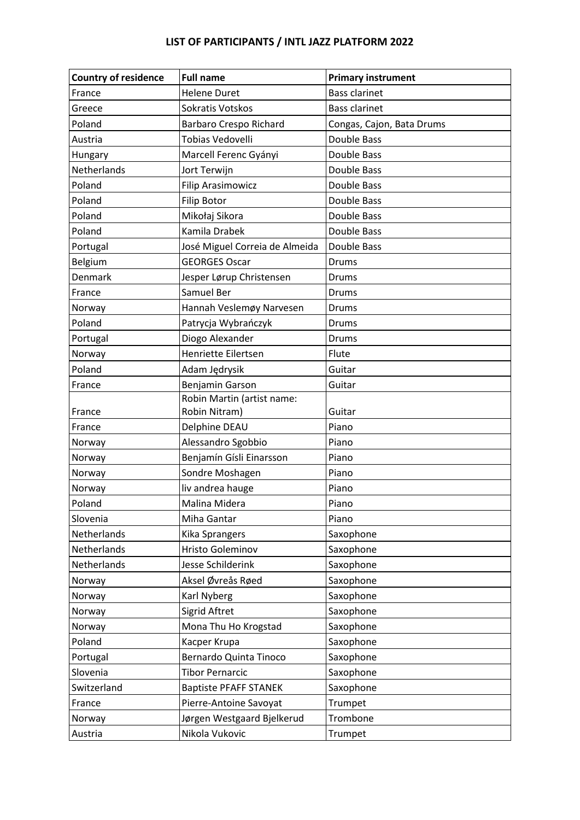## **LIST OF PARTICIPANTS / INTL JAZZ PLATFORM 2022**

| <b>Country of residence</b> | <b>Full name</b>               | <b>Primary instrument</b> |
|-----------------------------|--------------------------------|---------------------------|
| France                      | <b>Helene Duret</b>            | <b>Bass clarinet</b>      |
| Greece                      | Sokratis Votskos               | <b>Bass clarinet</b>      |
| Poland                      | <b>Barbaro Crespo Richard</b>  | Congas, Cajon, Bata Drums |
| Austria                     | <b>Tobias Vedovelli</b>        | Double Bass               |
| Hungary                     | Marcell Ferenc Gyányi          | Double Bass               |
| Netherlands                 | Jort Terwijn                   | Double Bass               |
| Poland                      | <b>Filip Arasimowicz</b>       | Double Bass               |
| Poland                      | <b>Filip Botor</b>             | Double Bass               |
| Poland                      | Mikołaj Sikora                 | Double Bass               |
| Poland                      | Kamila Drabek                  | Double Bass               |
| Portugal                    | José Miguel Correia de Almeida | Double Bass               |
| Belgium                     | <b>GEORGES Oscar</b>           | Drums                     |
| Denmark                     | Jesper Lørup Christensen       | <b>Drums</b>              |
| France                      | Samuel Ber                     | <b>Drums</b>              |
| Norway                      | Hannah Veslemøy Narvesen       | Drums                     |
| Poland                      | Patrycja Wybrańczyk            | <b>Drums</b>              |
| Portugal                    | Diogo Alexander                | Drums                     |
| Norway                      | Henriette Eilertsen            | Flute                     |
| Poland                      | Adam Jędrysik                  | Guitar                    |
| France                      | <b>Benjamin Garson</b>         | Guitar                    |
|                             | Robin Martin (artist name:     |                           |
| France                      | Robin Nitram)                  | Guitar                    |
| France                      | Delphine DEAU                  | Piano                     |
| Norway                      | Alessandro Sgobbio             | Piano                     |
| Norway                      | Benjamín Gísli Einarsson       | Piano                     |
| Norway                      | Sondre Moshagen                | Piano                     |
| Norway                      | liv andrea hauge               | Piano                     |
| Poland                      | Malina Midera                  | Piano                     |
| Slovenia                    | Miha Gantar                    | Piano                     |
| Netherlands                 | Kika Sprangers                 | Saxophone                 |
| Netherlands                 | Hristo Goleminov               | Saxophone                 |
| Netherlands                 | Jesse Schilderink              | Saxophone                 |
| Norway                      | Aksel Øvreås Røed              | Saxophone                 |
| Norway                      | Karl Nyberg                    | Saxophone                 |
| Norway                      | Sigrid Aftret                  | Saxophone                 |
| Norway                      | Mona Thu Ho Krogstad           | Saxophone                 |
| Poland                      | Kacper Krupa                   | Saxophone                 |
| Portugal                    | Bernardo Quinta Tinoco         | Saxophone                 |
| Slovenia                    | <b>Tibor Pernarcic</b>         | Saxophone                 |
| Switzerland                 | <b>Baptiste PFAFF STANEK</b>   | Saxophone                 |
| France                      | Pierre-Antoine Savoyat         | Trumpet                   |
| Norway                      | Jørgen Westgaard Bjelkerud     | Trombone                  |
| Austria                     | Nikola Vukovic                 | Trumpet                   |